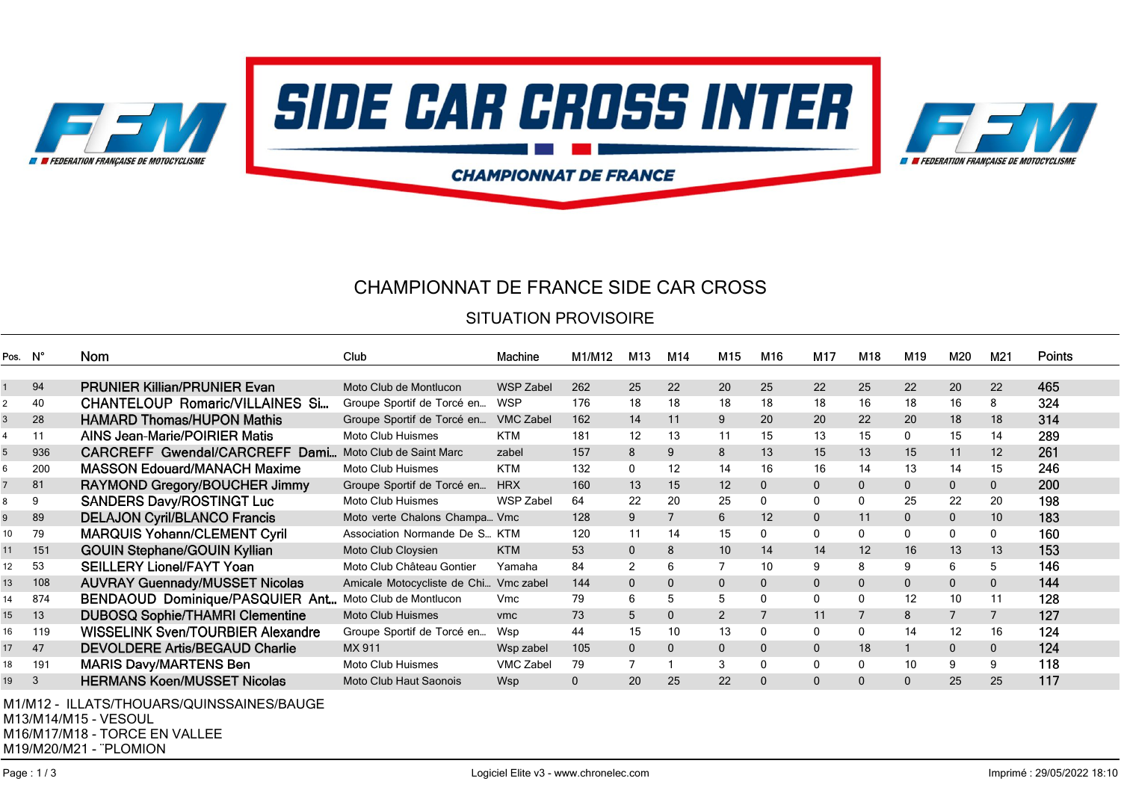

### CHAMPIONNAT DE FRANCE SIDE CAR CROSS

#### SITUATION PROVISOIRE

| Pos. N° |                | Nom                                        | Club                                  | Machine          | M1/M12       | M13            | M14          | M15               | M16          | M <sub>17</sub> | M18          | M <sub>19</sub> | M20            | M21               | <b>Points</b> |
|---------|----------------|--------------------------------------------|---------------------------------------|------------------|--------------|----------------|--------------|-------------------|--------------|-----------------|--------------|-----------------|----------------|-------------------|---------------|
|         |                |                                            |                                       |                  |              |                |              |                   |              |                 |              |                 |                |                   |               |
|         | 94             | <b>PRUNIER Killian/PRUNIER Evan</b>        | Moto Club de Montlucon                | <b>WSP Zabel</b> | 262          | 25             | 22           | 20                | 25           | 22              | 25           | 22              | 20             | 22                | 465           |
|         | 40             | <b>CHANTELOUP Romaric/VILLAINES Si</b>     | Groupe Sportif de Torcé en            | <b>WSP</b>       | 176          | 18             | 18           | 18                | 18           | 18              | 16           | 18              | 16             | 8                 | 324           |
|         | 28             | <b>HAMARD Thomas/HUPON Mathis</b>          | Groupe Sportif de Torcé en            | <b>VMC Zabel</b> | 162          | 14             | 11           | 9                 | 20           | 20              | 22           | 20              | 18             | 18                | 314           |
|         | 11             | <b>AINS Jean-Marie/POIRIER Matis</b>       | <b>Moto Club Huismes</b>              | <b>KTM</b>       | 181          | 12             | 13           | 11                | 15           | 13              | 15           | 0               | 15             | 14                | 289           |
| 5       | 936            | CARCREFF Gwendal/CARCREFF Dami             | Moto Club de Saint Marc               | zabel            | 157          | 8              | 9            | 8                 | 13           | 15              | 13           | 15              | 11             | $12 \overline{ }$ | 261           |
| 6       | 200            | <b>MASSON Edouard/MANACH Maxime</b>        | Moto Club Huismes                     | <b>KTM</b>       | 132          | 0              | 12           | 14                | 16           | 16              | 14           | 13              | 14             | 15                | 246           |
|         | 81             | RAYMOND Gregory/BOUCHER Jimmy              | Groupe Sportif de Torcé en            | <b>HRX</b>       | 160          | 13             | 15           | $12 \overline{ }$ | 0            | 0               | 0            | $\mathbf{0}$    | $\mathbf{0}$   | $\mathbf 0$       | 200           |
| 8       | 9              | <b>SANDERS Davy/ROSTINGT Luc</b>           | Moto Club Huismes                     | WSP Zabel        | 64           | 22             | 20           | 25                | 0            | 0               | 0            | 25              | 22             | 20                | 198           |
| 9       | 89             | <b>DELAJON Cyril/BLANCO Francis</b>        | Moto verte Chalons Champa Vmc         |                  | 128          | 9              | 7            | 6                 | 12           | $\mathbf 0$     | 11           | $\mathbf{0}$    | $\mathbf{0}$   | 10                | 183           |
| 10      | 79             | <b>MARQUIS Yohann/CLEMENT Cyril</b>        | Association Normande De S KTM         |                  | 120          | 11             | 14           | 15                | 0            | 0               | 0            | 0               | 0              | 0                 | 160           |
| 11      | 151            | <b>GOUIN Stephane/GOUIN Kyllian</b>        | Moto Club Cloysien                    | <b>KTM</b>       | 53           | $\mathbf{0}$   | 8            | 10                | 14           | 14              | 12           | 16              | 13             | 13                | 153           |
| 12      | 53             | <b>SEILLERY Lionel/FAYT Yoan</b>           | Moto Club Château Gontier             | Yamaha           | 84           | 2              | 6            | $\overline{7}$    | 10           | 9               | 8            | 9               | 6              | 5                 | 146           |
| 13      | 108            | <b>AUVRAY Guennady/MUSSET Nicolas</b>      | Amicale Motocycliste de Chi Vmc zabel |                  | 144          | $\mathbf{0}$   | $\mathbf 0$  | $\mathbf{0}$      | 0            | $\mathbf 0$     | $\mathbf{0}$ | $\mathbf{0}$    | $\mathbf{0}$   | $\mathbf{0}$      | 144           |
| 14      | 874            | BENDAOUD Dominique/PASQUIER Ant            | Moto Club de Montlucon                | Vmc              | 79           | 6              | 5            | 5                 | 0            | 0               | 0            | 12              | 10             | 11                | 128           |
| 15      | 13             | <b>DUBOSQ Sophie/THAMRI Clementine</b>     | <b>Moto Club Huismes</b>              | vmc              | 73           | 5              | $\mathbf 0$  | $\overline{2}$    |              | 11              | 7            | 8               | $\overline{7}$ | $\overline{7}$    | 127           |
| 16      | 119            | WISSELINK Sven/TOURBIER Alexandre          | Groupe Sportif de Torcé en            | Wsp              | 44           | 15             | 10           | 13                | 0            | 0               | 0            | 14              | 12             | 16                | 124           |
| 17      | 47             | <b>DEVOLDERE Artis/BEGAUD Charlie</b>      | MX 911                                | Wsp zabel        | 105          | $\mathbf{0}$   | $\mathbf{0}$ | $\mathbf{0}$      | 0            | $\mathbf{0}$    | 18           |                 | $\mathbf{0}$   | $\mathbf{0}$      | 124           |
| 18      | 191            | <b>MARIS Davy/MARTENS Ben</b>              | Moto Club Huismes                     | <b>VMC Zabel</b> | 79           | $\overline{7}$ |              | 3                 | 0            | 0               | 0            | 10              | 9              | 9                 | 118           |
| 19      | 3              | <b>HERMANS Koen/MUSSET Nicolas</b>         | Moto Club Haut Saonois                | Wsp              | $\mathbf{0}$ | 20             | 25           | 22                | $\mathbf{0}$ | $\mathbf{0}$    | $\mathbf{0}$ | $\mathbf{0}$    | 25             | 25                | 117           |
|         | <b>M1/M112</b> | II LATO/THOLIADO/OLIINIO CAINIE O / DALICE |                                       |                  |              |                |              |                   |              |                 |              |                 |                |                   |               |

ILLATS/THOUARS/QUINSSAINES/BAUGE M13/M14/M15 - VESOUL M16/M17/M18 - TORCE EN VALLEE M19/M20/M21 - ¨PLOMION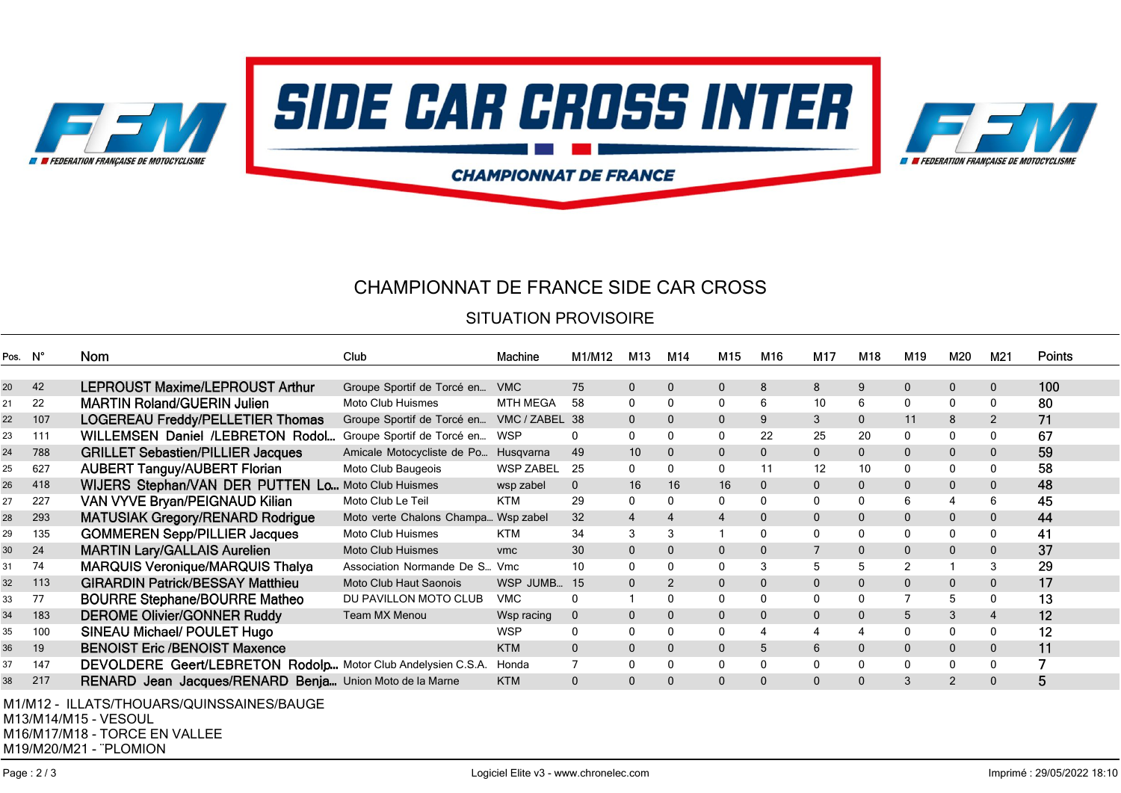

# CHAMPIONNAT DE FRANCE SIDE CAR CROSS

#### SITUATION PROVISOIRE

| Pos. N°                                                |     | Nom                                                          | Club                                      | Machine          | M1/M12         | M <sub>13</sub> | M14            | M15            | M16          | M17          | M18          | M <sub>19</sub> | M20            | M21            | <b>Points</b> |
|--------------------------------------------------------|-----|--------------------------------------------------------------|-------------------------------------------|------------------|----------------|-----------------|----------------|----------------|--------------|--------------|--------------|-----------------|----------------|----------------|---------------|
|                                                        |     |                                                              |                                           |                  |                |                 |                |                |              |              |              |                 |                |                |               |
| 20                                                     | 42  | LEPROUST Maxime/LEPROUST Arthur                              | Groupe Sportif de Torcé en                | <b>VMC</b>       | 75             | $\mathbf 0$     | $\overline{0}$ | $\mathbf 0$    | 8            | 8            | 9            | $\mathbf{0}$    | $\mathbf{0}$   | $\mathbf 0$    | 100           |
| 21                                                     | 22  | <b>MARTIN Roland/GUERIN Julien</b>                           | Moto Club Huismes                         | <b>MTH MEGA</b>  | 58             | $\mathbf{0}$    | $\mathbf{0}$   | $\mathbf{0}$   | 6            | 10           | 6            | 0               | $\mathbf{0}$   | $\mathbf 0$    | 80            |
| 22                                                     | 107 | <b>LOGEREAU Freddy/PELLETIER Thomas</b>                      | Groupe Sportif de Torcé en VMC / ZABEL 38 |                  |                | $\mathbf{0}$    | $\mathbf 0$    | $\mathbf 0$    | 9            | 3            | 0            | 11              | 8              | $\overline{2}$ | 71            |
| 23                                                     | 111 | <b>WILLEMSEN Daniel /LEBRETON Rodol</b>                      | Groupe Sportif de Torcé en                | WSP              | 0              | $\mathbf{0}$    | $\mathbf{0}$   | 0              | 22           | 25           | 20           | 0               | 0              | 0              | 67            |
| 24                                                     | 788 | <b>GRILLET Sebastien/PILLIER Jacques</b>                     | Amicale Motocycliste de Po                | Husqvarna        | 49             | 10              | $\mathbf 0$    | $\mathbf 0$    | 0            | 0            | 0            | $\mathbf 0$     | $\mathbf{0}$   | $\mathbf 0$    | 59            |
| 25                                                     | 627 | <b>AUBERT Tanguy/AUBERT Florian</b>                          | Moto Club Baugeois                        | <b>WSP ZABEL</b> | 25             | $\mathbf{0}$    | $\mathbf{0}$   | 0              | 11           | 12           | 10           | 0               | $\mathbf{0}$   | $\mathbf 0$    | 58            |
| 26                                                     | 418 | WIJERS Stephan/VAN DER PUTTEN Lo Moto Club Huismes           |                                           | wsp zabel        | $\mathbf{0}$   | 16              | 16             | 16             | 0            | 0            | 0            | $\mathbf 0$     | $\mathbf{0}$   | $\mathbf 0$    | 48            |
| 27                                                     | 227 | VAN VYVE Bryan/PEIGNAUD Kilian                               | Moto Club Le Teil                         | <b>KTM</b>       | 29             | 0               | $\Omega$       | 0              | 0            | 0            | 0            | 6               | $\overline{4}$ | 6              | 45            |
| 28                                                     | 293 | <b>MATUSIAK Gregory/RENARD Rodrigue</b>                      | Moto verte Chalons Champa Wsp zabel       |                  | 32             | $\overline{4}$  | $\overline{4}$ | 4              | 0            | $\mathbf 0$  | $\mathbf 0$  | $\mathbf{0}$    | $\mathbf 0$    | $\mathbf 0$    | 44            |
| 29                                                     | 135 | <b>GOMMEREN Sepp/PILLIER Jacques</b>                         | Moto Club Huismes                         | <b>KTM</b>       | 34             | 3               | 3              |                | 0            | 0            | 0            | 0               | $\mathbf{0}$   | 0              | 41            |
| 30                                                     | 24  | <b>MARTIN Lary/GALLAIS Aurelien</b>                          | <b>Moto Club Huismes</b>                  | vmc              | 30             | $\mathbf{0}$    | $\mathbf 0$    | $\overline{0}$ | $\mathbf{0}$ | 7            | $\mathbf{0}$ | $\mathbf{0}$    | $\mathbf{0}$   | $\mathbf 0$    | 37            |
| 31                                                     | 74  | <b>MARQUIS Veronique/MARQUIS Thalya</b>                      | Association Normande De S Vmc             |                  | 10             | $\mathbf{0}$    | $\mathbf{0}$   | $\mathbf{0}$   | 3            | 5            | 5            | 2               |                | 3              | 29            |
| 32                                                     | 113 | <b>GIRARDIN Patrick/BESSAY Matthieu</b>                      | Moto Club Haut Saonois                    | WSP JUMB         | - 15           | $\mathbf{0}$    | 2              | $\mathbf{0}$   | 0            | $\mathbf{0}$ | $\mathbf{0}$ | $\mathbf{0}$    | $\mathbf{0}$   | $\mathbf 0$    | 17            |
| 33                                                     | 77  | <b>BOURRE Stephane/BOURRE Matheo</b>                         | DU PAVILLON MOTO CLUB                     | <b>VMC</b>       | 0              |                 | 0              | $\mathbf{0}$   | 0            | 0            | 0            | 7               | 5              | 0              | 13            |
| 34                                                     | 183 | <b>DEROME Olivier/GONNER Ruddy</b>                           | <b>Team MX Menou</b>                      | Wsp racing       | $\mathbf 0$    | $\mathbf{0}$    | $\Omega$       | $\mathbf 0$    | 0            | $\mathbf{0}$ | $\mathbf{0}$ | 5               | 3              | $\overline{4}$ | 12            |
| 35                                                     | 100 | SINEAU Michael/ POULET Hugo                                  |                                           | <b>WSP</b>       | 0              | 0               | $\mathbf{0}$   | 0              | 4            | 4            | 4            | 0               | $\mathbf{0}$   | $\mathbf 0$    | 12            |
| 36                                                     | 19  | <b>BENOIST Eric /BENOIST Maxence</b>                         |                                           | <b>KTM</b>       | $\mathbf{0}$   | $\mathbf 0$     | $\Omega$       | $\mathbf 0$    | 5            | 6            | 0            | $\mathbf 0$     | $\mathbf{0}$   | $\mathbf 0$    | 11            |
| 37                                                     | 147 | DEVOLDERE Geert/LEBRETON Rodolp Motor Club Andelysien C.S.A. |                                           | Honda            | $\overline{7}$ | $\mathbf{0}$    | $\mathbf 0$    | 0              | 0            | 0            | 0            | 0               | $\Omega$       | $\mathbf 0$    | 7             |
| 38                                                     | 217 | RENARD Jean Jacques/RENARD Benja Union Moto de la Marne      |                                           | <b>KTM</b>       | $\mathbf{0}$   | $\mathbf 0$     | 0              | $\mathbf{0}$   | 0            | $\mathbf 0$  | $\mathbf 0$  | 3               | $\overline{2}$ | $\mathbf{0}$   | 5             |
|                                                        |     |                                                              |                                           |                  |                |                 |                |                |              |              |              |                 |                |                |               |
|                                                        |     | M1/M12 - ILLATS/THOUARS/QUINSSAINES/BAUGE                    |                                           |                  |                |                 |                |                |              |              |              |                 |                |                |               |
| M13/M14/M15 - VESOUL<br>$M120M117M110$ TODOF FNIVALLEE |     |                                                              |                                           |                  |                |                 |                |                |              |              |              |                 |                |                |               |

M16/M17/M18 - TORCE EN VALLEE

M19/M20/M21 - ¨PLOMION